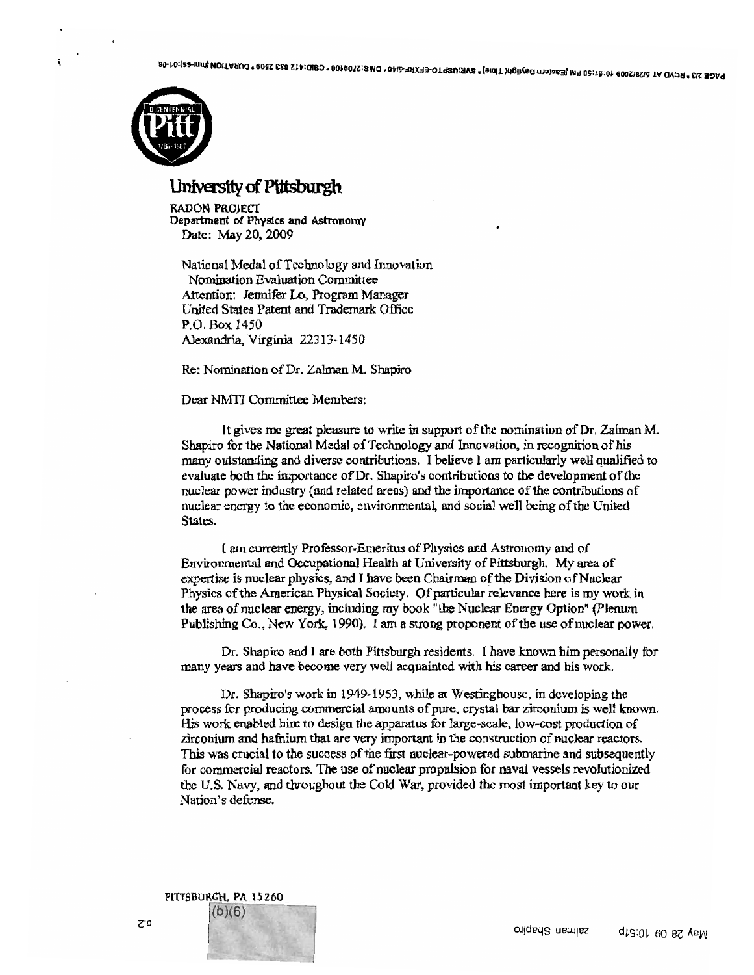

## University of Pittsburgh

RADON PROJEct Department of Phys1cs and Astronomy Date: May 20,2009

National Medal of Technology and Innovation Nomination Evaluation Committee Attention: Jennifer Lo, Program Manager United States Patent and Trademark Office P.O. Box 1450 Alexandria, Virginia 22313-1450

Re: Nomination of Dr. Zalman M. Shapiro

## Dear NMTI Committee Members:

It gives me great pleasure to write in support of the nomination of Dr. Zalman M. Shapiro for the National Medal of Technology and Innovation, in recognition of his many outstanding and diverse contributions. I believe I am particularly well qualified to evaluate both the importance of Dr. Shapiro's contributions to the development of the nuclear power industry (and related areas) and the importance ofthe contributions of nuclear energy to the economic, environmental, and social well being of the United States.

I am currently Professor-Emeritus of Physics and Astronomy and of Environmental and Occupational Health at University of Pittsburgh. My area of expertise is nuclear physics, and I have been Chairman of the Division of Nuclear Physics of the American Physical Society. Of particular relevance here is my work in the area of nuclear energy, including my book "the Nuclear Energy Option" (Plenum Publishing Co., New York, 1990). I am a strong proponent ofthe use ofnuclear power.

Dr. Shapiro and I are both Pittsburgh residents. I have known him personally for many years and have become very well acquainted with his career and his work.

Dr. Shapiro's work in 1949-1953, while at Westinghouse, in developing the process for producing commercial amounts of pure, crystal bar zirconium is well known. His work enabled him to design the apparatus for large-scale, low-cost production of zirconium and hafnium that are very important in the construction of nuclear reactors. This was crucial to the success ofthe first nuclear-powered submarine and subsequently for commercial reactors. The use ofnuclear propulsion for naval vessels revolutionized the U.S. Kavy, and throughout the Cold War, provided the most important key to our Nation's defense.